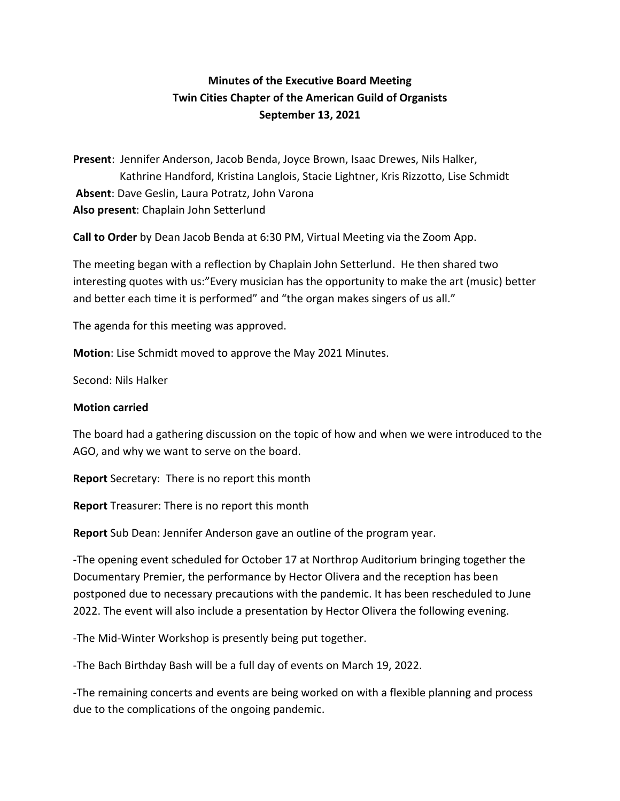# **Minutes of the Executive Board Meeting Twin Cities Chapter of the American Guild of Organists September 13, 2021**

**Present**: Jennifer Anderson, Jacob Benda, Joyce Brown, Isaac Drewes, Nils Halker, Kathrine Handford, Kristina Langlois, Stacie Lightner, Kris Rizzotto, Lise Schmidt **Absent**: Dave Geslin, Laura Potratz, John Varona **Also present**: Chaplain John Setterlund

**Call to Order** by Dean Jacob Benda at 6:30 PM, Virtual Meeting via the Zoom App.

The meeting began with a reflection by Chaplain John Setterlund. He then shared two interesting quotes with us:"Every musician has the opportunity to make the art (music) better and better each time it is performed" and "the organ makes singers of us all."

The agenda for this meeting was approved.

**Motion**: Lise Schmidt moved to approve the May 2021 Minutes.

Second: Nils Halker

#### **Motion carried**

The board had a gathering discussion on the topic of how and when we were introduced to the AGO, and why we want to serve on the board.

**Report** Secretary: There is no report this month

**Report** Treasurer: There is no report this month

**Report** Sub Dean: Jennifer Anderson gave an outline of the program year.

-The opening event scheduled for October 17 at Northrop Auditorium bringing together the Documentary Premier, the performance by Hector Olivera and the reception has been postponed due to necessary precautions with the pandemic. It has been rescheduled to June 2022. The event will also include a presentation by Hector Olivera the following evening.

-The Mid-Winter Workshop is presently being put together.

-The Bach Birthday Bash will be a full day of events on March 19, 2022.

-The remaining concerts and events are being worked on with a flexible planning and process due to the complications of the ongoing pandemic.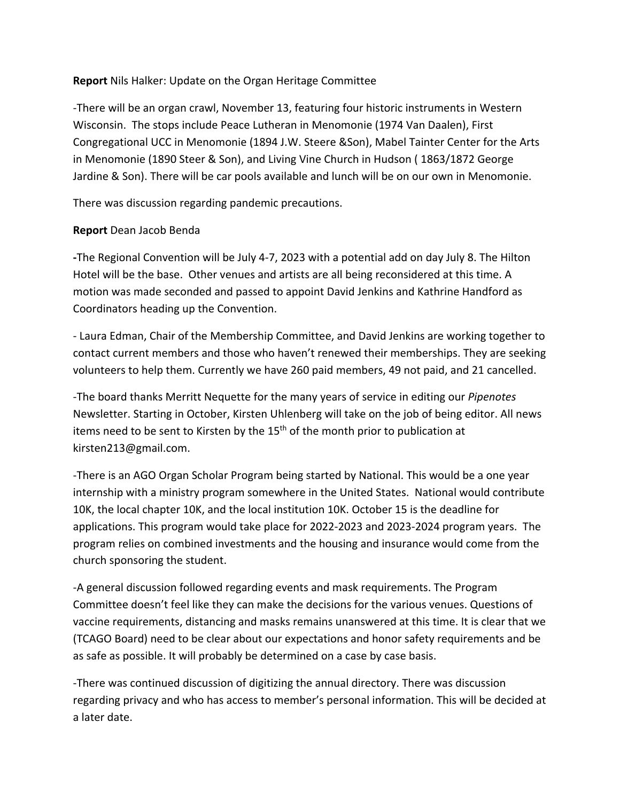### **Report** Nils Halker: Update on the Organ Heritage Committee

-There will be an organ crawl, November 13, featuring four historic instruments in Western Wisconsin. The stops include Peace Lutheran in Menomonie (1974 Van Daalen), First Congregational UCC in Menomonie (1894 J.W. Steere &Son), Mabel Tainter Center for the Arts in Menomonie (1890 Steer & Son), and Living Vine Church in Hudson ( 1863/1872 George Jardine & Son). There will be car pools available and lunch will be on our own in Menomonie.

There was discussion regarding pandemic precautions.

### **Report** Dean Jacob Benda

**-**The Regional Convention will be July 4-7, 2023 with a potential add on day July 8. The Hilton Hotel will be the base. Other venues and artists are all being reconsidered at this time. A motion was made seconded and passed to appoint David Jenkins and Kathrine Handford as Coordinators heading up the Convention.

- Laura Edman, Chair of the Membership Committee, and David Jenkins are working together to contact current members and those who haven't renewed their memberships. They are seeking volunteers to help them. Currently we have 260 paid members, 49 not paid, and 21 cancelled.

-The board thanks Merritt Nequette for the many years of service in editing our *Pipenotes*  Newsletter. Starting in October, Kirsten Uhlenberg will take on the job of being editor. All news items need to be sent to Kirsten by the  $15<sup>th</sup>$  of the month prior to publication at kirsten213@gmail.com.

-There is an AGO Organ Scholar Program being started by National. This would be a one year internship with a ministry program somewhere in the United States. National would contribute 10K, the local chapter 10K, and the local institution 10K. October 15 is the deadline for applications. This program would take place for 2022-2023 and 2023-2024 program years. The program relies on combined investments and the housing and insurance would come from the church sponsoring the student.

-A general discussion followed regarding events and mask requirements. The Program Committee doesn't feel like they can make the decisions for the various venues. Questions of vaccine requirements, distancing and masks remains unanswered at this time. It is clear that we (TCAGO Board) need to be clear about our expectations and honor safety requirements and be as safe as possible. It will probably be determined on a case by case basis.

-There was continued discussion of digitizing the annual directory. There was discussion regarding privacy and who has access to member's personal information. This will be decided at a later date.